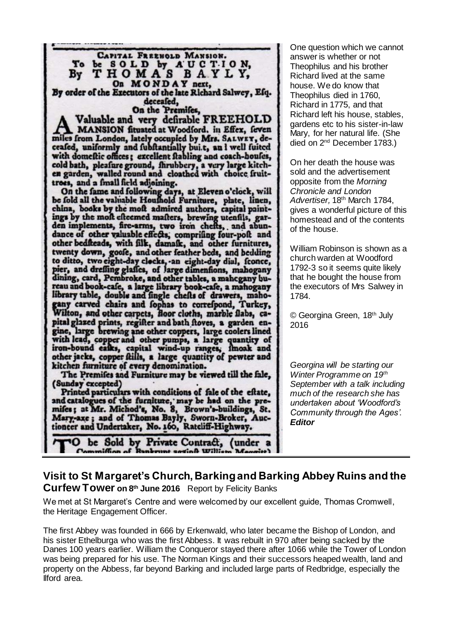|                                                                                                                           | One qu           |
|---------------------------------------------------------------------------------------------------------------------------|------------------|
| CAPITAL FREEHOLD MANSION.                                                                                                 | answei           |
| To<br>be SOLD by AUCTION,                                                                                                 | Theopł           |
| By THOMAS BAYLY,                                                                                                          | Richar           |
| On MONDAY next,                                                                                                           | house.           |
| By order of the Executors of the late Richard Salwey, Efq.                                                                | Theoph           |
| deceafed,                                                                                                                 | Richar           |
| On the Premifes,                                                                                                          | Richar           |
| Valuable and very defirable FREEHOLD                                                                                      | garden           |
| MANSION fituated at Woodford. in Effex, feven                                                                             | Mary, f          |
| miles from London, lately occupied by Mrs. SALWEY, de-                                                                    | died or          |
| ceafed, uniformly and fubftantially bui.t, an I well fuited                                                               |                  |
| with domeftic offices; excellent ftabling and coach-houles,<br>cold bath, pleafure ground, fhrubbery, a very large kitch- | On her           |
| en garden, walled round and cloathed with choice fruit-                                                                   | sold ar          |
| trees, and a fmall field adjoining.                                                                                       | opposit          |
| On the fame and following days, at Eleven o'clock, will                                                                   | Chroni           |
| be fold all the valuable Houfhold Furniture, plate, linen,                                                                | <b>Advert</b>    |
| china, books by the moft admired authors, capital paint-                                                                  | gives a          |
| ings by the moft efteemed mafters, brewing utenfils, gar-                                                                 | homes            |
| den implements, fire-arms, two iron chefts, and abun-                                                                     | of the h         |
| dance of other valuable effects, comprifing four-polt and                                                                 |                  |
| other bedfteads, with filk, damafk, and other furnitures,                                                                 | William          |
| twenty down, goofe, and other feather beds, and bedding                                                                   | church           |
| to ditto, two eight-day clocks, an eight-day dial, fconce,                                                                | 1792-3           |
| pier, and drefling glaffes, of large dimentions, mahogany<br>dining, card, Pembroke, and other tables, a mahegany bu-     | that he          |
| reau and book-cafe, a large library book-cafe, a manogany                                                                 | the exe          |
| library table, double and fingle chefts of drawers, maho-                                                                 | 1784.            |
| gany carved chairs and fophas to correspond, Turkey,                                                                      |                  |
| Wilton, and other carpets, floor cloths, marble flabs, ca-                                                                | © Geor           |
| pital glazed prints, regifter and bath floves, a garden en-                                                               | 2016             |
| gine, large brewing ane other coppers, large coolers lined                                                                |                  |
| with lead, copper and other pumps, a large quantity of                                                                    |                  |
| iron-bound eafks, capital wind-up ranges, fmoak and                                                                       |                  |
| other jacks, copper ftills, a large quantity of pewter and                                                                |                  |
| kitchen furniture of every denomination.                                                                                  | Georgi<br>Winter |
| The Premifes and Furniture may be viewed till the fale,                                                                   |                  |
| (Sunday excepted)<br>Printed particulars with conditions of fale of the eftate,                                           | Septen<br>much   |
| and catalogues of the furniture, may be had on the pre-                                                                   | underta          |
| mifes; at Mr. Michod's, No. 8, Brown's-buildings, St.                                                                     |                  |
| Mary-axe; and of Thomas Bayly, Sworn-Broker, Auc-                                                                         | Comm             |
| tioneer and Undertaker, No. 160, Ratcliff-Highway.                                                                        | <b>Editor</b>    |
| be Sold by Private Contract, (under a                                                                                     |                  |
| $A = 2$                                                                                                                   |                  |

Jestion which we cannot r is whether or not hilus and his brother d lived at the same We do know that nilus died in 1760, d in 1775, and that d left his house, stables, is etc to his sister-in-law for her natural life. (She n 2<sup>nd</sup> December 1783.)

death the house was ad the advertisement opposite from the *Morning Chronicle and London Advertiser,* 18th March 1784, wonderful picture of this tead and of the contents house.

n Robinson is shown as a warden at Woodford so it seems quite likely bought the house from ecutors of Mrs Salwey in

rgina Green, 18<sup>th</sup> July

*Georgina will be starting our Programme on 19<sup>th</sup> September with a talk including much of the research she has undertaken about 'Woodford's Community through the Ages'.* 

## **Visit to St Margaret's Church, Barking and Barking Abbey Ruins and the Curfew Tower on 8th June 2016** Report by Felicity Banks

We met at St Margaret's Centre and were welcomed by our excellent guide, Thomas Cromwell, the Heritage Engagement Officer.

The first Abbey was founded in 666 by Erkenwald, who later became the Bishop of London, and his sister Ethelburga who was the first Abbess. It was rebuilt in 970 after being sacked by the Danes 100 years earlier. William the Conqueror stayed there after 1066 while the Tower of London was being prepared for his use. The Norman Kings and their successors heaped wealth, land and property on the Abbess, far beyond Barking and included large parts of Redbridge, especially the Ilford area.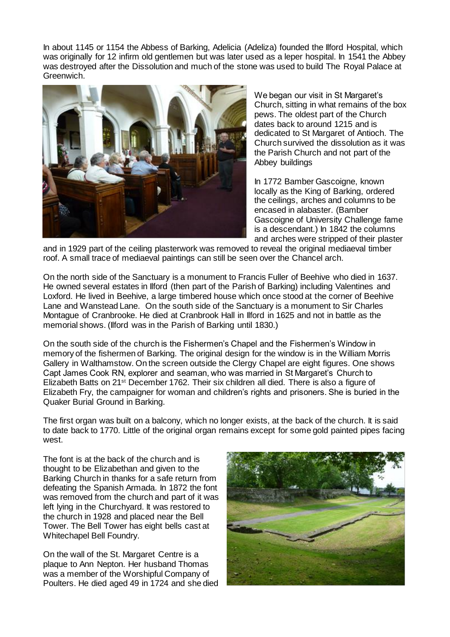In about 1145 or 1154 the Abbess of Barking, Adelicia (Adeliza) founded the Ilford Hospital, which was originally for 12 infirm old gentlemen but was later used as a leper hospital. In 1541 the Abbey was destroyed after the Dissolution and much of the stone was used to build The Royal Palace at Greenwich.



We began our visit in St Margaret's Church, sitting in what remains of the box pews. The oldest part of the Church dates back to around 1215 and is dedicated to St Margaret of Antioch. The Church survived the dissolution as it was the Parish Church and not part of the Abbey buildings

In 1772 Bamber Gascoigne, known locally as the King of Barking, ordered the ceilings, arches and columns to be encased in alabaster. (Bamber Gascoigne of University Challenge fame is a descendant.) In 1842 the columns and arches were stripped of their plaster

and in 1929 part of the ceiling plasterwork was removed to reveal the original mediaeval timber roof. A small trace of mediaeval paintings can still be seen over the Chancel arch.

On the north side of the Sanctuary is a monument to Francis Fuller of Beehive who died in 1637. He owned several estates in Ilford (then part of the Parish of Barking) including Valentines and Loxford. He lived in Beehive, a large timbered house which once stood at the corner of Beehive Lane and Wanstead Lane. On the south side of the Sanctuary is a monument to Sir Charles Montague of Cranbrooke. He died at Cranbrook Hall in Ilford in 1625 and not in battle as the memorial shows. (Ilford was in the Parish of Barking until 1830.)

On the south side of the church is the Fishermen's Chapel and the Fishermen's Window in memory of the fishermen of Barking. The original design for the window is in the William Morris Gallery in Walthamstow. On the screen outside the Clergy Chapel are eight figures. One shows Capt James Cook RN, explorer and seaman, who was married in St Margaret's Church to Elizabeth Batts on 21<sup>st</sup> December 1762. Their six children all died. There is also a figure of Elizabeth Fry, the campaigner for woman and children's rights and prisoners. She is buried in the Quaker Burial Ground in Barking.

The first organ was built on a balcony, which no longer exists, at the back of the church. It is said to date back to 1770. Little of the original organ remains except for some gold painted pipes facing west.

The font is at the back of the church and is thought to be Elizabethan and given to the Barking Church in thanks for a safe return from defeating the Spanish Armada. In 1872 the font was removed from the church and part of it was left lying in the Churchyard. It was restored to the church in 1928 and placed near the Bell Tower. The Bell Tower has eight bells cast at Whitechapel Bell Foundry.

On the wall of the St. Margaret Centre is a plaque to Ann Nepton. Her husband Thomas was a member of the Worshipful Company of Poulters. He died aged 49 in 1724 and she died

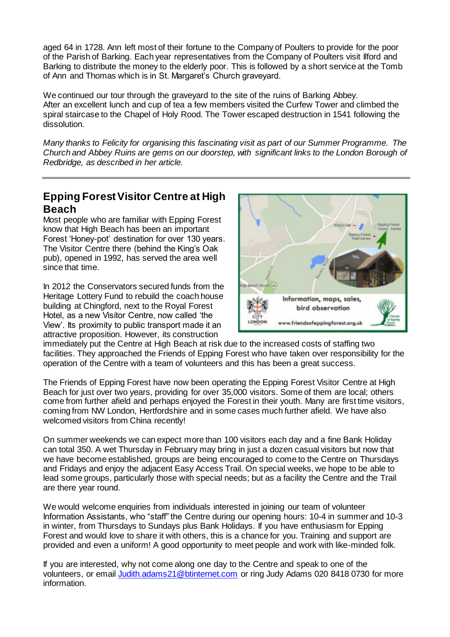aged 64 in 1728. Ann left most of their fortune to the Company of Poulters to provide for the poor of the Parish of Barking. Each year representatives from the Company of Poulters visit Ilford and Barking to distribute the money to the elderly poor. This is followed by a short service at the Tomb of Ann and Thomas which is in St. Margaret's Church graveyard.

We continued our tour through the graveyard to the site of the ruins of Barking Abbey. After an excellent lunch and cup of tea a few members visited the Curfew Tower and climbed the spiral staircase to the Chapel of Holy Rood. The Tower escaped destruction in 1541 following the dissolution.

*Many thanks to Felicity for organising this fascinating visit as part of our Summer Programme. The Church and Abbey Ruins are gems on our doorstep, with significant links to the London Borough of Redbridge, as described in her article.*

## **Epping Forest Visitor Centre at High Beach**

Most people who are familiar with Epping Forest know that High Beach has been an important Forest 'Honey-pot' destination for over 130 years. The Visitor Centre there (behind the King's Oak pub), opened in 1992, has served the area well since that time.

In 2012 the Conservators secured funds from the Heritage Lottery Fund to rebuild the coach house building at Chingford, next to the Royal Forest Hotel, as a new Visitor Centre, now called 'the View'. Its proximity to public transport made it an attractive proposition. However, its construction



immediately put the Centre at High Beach at risk due to the increased costs of staffing two facilities. They approached the Friends of Epping Forest who have taken over responsibility for the operation of the Centre with a team of volunteers and this has been a great success.

The Friends of Epping Forest have now been operating the Epping Forest Visitor Centre at High Beach for just over two years, providing for over 35,000 visitors. Some of them are local; others come from further afield and perhaps enjoyed the Forest in their youth. Many are first time visitors, coming from NW London, Hertfordshire and in some cases much further afield. We have also welcomed visitors from China recently!

On summer weekends we can expect more than 100 visitors each day and a fine Bank Holiday can total 350. A wet Thursday in February may bring in just a dozen casual visitors but now that we have become established, groups are being encouraged to come to the Centre on Thursdays and Fridays and enjoy the adjacent Easy Access Trail. On special weeks, we hope to be able to lead some groups, particularly those with special needs; but as a facility the Centre and the Trail are there year round.

We would welcome enquiries from individuals interested in joining our team of volunteer Information Assistants, who "staff" the Centre during our opening hours: 10-4 in summer and 10-3 in winter, from Thursdays to Sundays plus Bank Holidays. If you have enthusiasm for Epping Forest and would love to share it with others, this is a chance for you. Training and support are provided and even a uniform! A good opportunity to meet people and work with like-minded folk.

If you are interested, why not come along one day to the Centre and speak to one of the volunteers, or emai[l Judith.adams21@btinternet.com](mailto:Judith.adams21@btinternet.com) or ring Judy Adams 020 8418 0730 for more information.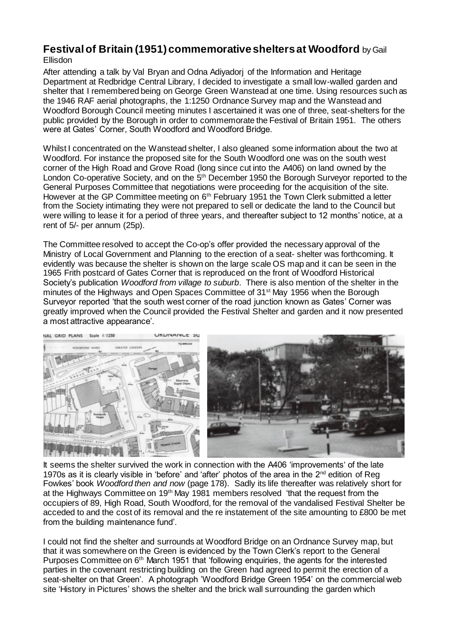## **Festival of Britain (1951) commemorative shelters at Woodford** by Gail Ellisdon

After attending a talk by Val Bryan and Odna Adiyadorj of the Information and Heritage Department at Redbridge Central Library, I decided to investigate a small low-walled garden and shelter that I remembered being on George Green Wanstead at one time. Using resources such as the 1946 RAF aerial photographs, the 1:1250 Ordnance Survey map and the Wanstead and Woodford Borough Council meeting minutes I ascertained it was one of three, seat-shelters for the public provided by the Borough in order to commemorate the Festival of Britain 1951. The others were at Gates' Corner, South Woodford and Woodford Bridge.

Whilst I concentrated on the Wanstead shelter, I also gleaned some information about the two at Woodford. For instance the proposed site for the South Woodford one was on the south west corner of the High Road and Grove Road (long since cut into the A406) on land owned by the London Co-operative Society, and on the 5<sup>th</sup> December 1950 the Borough Surveyor reported to the General Purposes Committee that negotiations were proceeding for the acquisition of the site. However at the GP Committee meeting on 6<sup>th</sup> February 1951 the Town Clerk submitted a letter from the Society intimating they were not prepared to sell or dedicate the land to the Council but were willing to lease it for a period of three years, and thereafter subject to 12 months' notice, at a rent of 5/- per annum (25p).

The Committee resolved to accept the Co-op's offer provided the necessary approval of the Ministry of Local Government and Planning to the erection of a seat- shelter was forthcoming. It evidently was because the shelter is shown on the large scale OS map and it can be seen in the 1965 Frith postcard of Gates Corner that is reproduced on the front of Woodford Historical Society's publication *Woodford from village to suburb*. There is also mention of the shelter in the minutes of the Highways and Open Spaces Committee of 31<sup>st</sup> May 1956 when the Borough Surveyor reported 'that the south west corner of the road junction known as Gates' Corner was greatly improved when the Council provided the Festival Shelter and garden and it now presented a most attractive appearance'.



It seems the shelter survived the work in connection with the A406 'improvements' of the late 1970s as it is clearly visible in 'before' and 'after' photos of the area in the 2<sup>nd</sup> edition of Reg Fowkes' book *Woodford then and now* (page 178). Sadly its life thereafter was relatively short for at the Highways Committee on 19<sup>th</sup> May 1981 members resolved 'that the request from the occupiers of 89, High Road, South Woodford, for the removal of the vandalised Festival Shelter be acceded to and the cost of its removal and the re instatement of the site amounting to £800 be met from the building maintenance fund'.

I could not find the shelter and surrounds at Woodford Bridge on an Ordnance Survey map, but that it was somewhere on the Green is evidenced by the Town Clerk's report to the General Purposes Committee on 6<sup>th</sup> March 1951 that 'following enquiries, the agents for the interested parties in the covenant restricting building on the Green had agreed to permit the erection of a seat-shelter on that Green'. A photograph 'Woodford Bridge Green 1954' on the commercial web site 'History in Pictures' shows the shelter and the brick wall surrounding the garden which